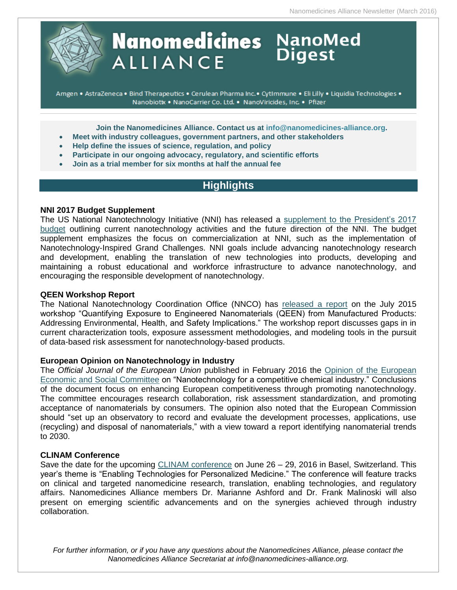

# **Nanomedicines** NanoMed **ALLIANCE**

Amgen . AstraZeneca . Bind Therapeutics . Cerulean Pharma Inc. · CytImmune . Eli Lilly . Liquidia Technologies . Nanobiotix . NanoCarrier Co. Ltd. . NanoViricides, Inc. . Pfizer

**Join the Nanomedicines Alliance. Contact us at [info@nanomedicines-alliance.org.](mailto:info@nanomedicines-alliance.org)**

- **Meet with industry colleagues, government partners, and other stakeholders**
- **Help define the issues of science, regulation, and policy**
- **Participate in our ongoing advocacy, regulatory, and scientific efforts**
- **Join as a trial member for six months at half the annual fee**

# **Highlights**

# **NNI 2017 Budget Supplement**

The US National Nanotechnology Initiative (NNI) has released a [supplement to the President's 2017](http://www.nano.gov/sites/default/files/pub_resource/nni_fy17_budget_supplement.pdf)  [budget](http://www.nano.gov/sites/default/files/pub_resource/nni_fy17_budget_supplement.pdf) outlining current nanotechnology activities and the future direction of the NNI. The budget supplement emphasizes the focus on commercialization at NNI, such as the implementation of Nanotechnology-Inspired Grand Challenges. NNI goals include advancing nanotechnology research and development, enabling the translation of new technologies into products, developing and maintaining a robust educational and workforce infrastructure to advance nanotechnology, and encouraging the responsible development of nanotechnology.

# **QEEN Workshop Report**

The National Nanotechnology Coordination Office (NNCO) has [released a report](http://www.nano.gov/sites/default/files/pub_resource/qeen_workshop_report_2016.pdf) on the July 2015 workshop "Quantifying Exposure to Engineered Nanomaterials (QEEN) from Manufactured Products: Addressing Environmental, Health, and Safety Implications." The workshop report discusses gaps in in current characterization tools, exposure assessment methodologies, and modeling tools in the pursuit of data-based risk assessment for nanotechnology-based products.

# **European Opinion on Nanotechnology in Industry**

The *Official Journal of the European Union* published in February 2016 the [Opinion of the European](http://eur-lex.europa.eu/legal-content/EN/TXT/PDF/?uri=CELEX:52015IE3991&from=EN)  [Economic and Social Committee](http://eur-lex.europa.eu/legal-content/EN/TXT/PDF/?uri=CELEX:52015IE3991&from=EN) on "Nanotechnology for a competitive chemical industry." Conclusions of the document focus on enhancing European competitiveness through promoting nanotechnology. The committee encourages research collaboration, risk assessment standardization, and promoting acceptance of nanomaterials by consumers. The opinion also noted that the European Commission should "set up an observatory to record and evaluate the development processes, applications, use (recycling) and disposal of nanomaterials," with a view toward a report identifying nanomaterial trends to 2030.

# **CLINAM Conference**

Save the date for the upcoming [CLINAM conference](https://www.clinam.org/) on June 26 – 29, 2016 in Basel, Switzerland. This year's theme is "Enabling Technologies for Personalized Medicine." The conference will feature tracks on clinical and targeted nanomedicine research, translation, enabling technologies, and regulatory affairs. Nanomedicines Alliance members Dr. Marianne Ashford and Dr. Frank Malinoski will also present on emerging scientific advancements and on the synergies achieved through industry collaboration.

*For further information, or if you have any questions about the Nanomedicines Alliance, please contact the Nanomedicines Alliance Secretariat at info@nanomedicines-alliance.org.*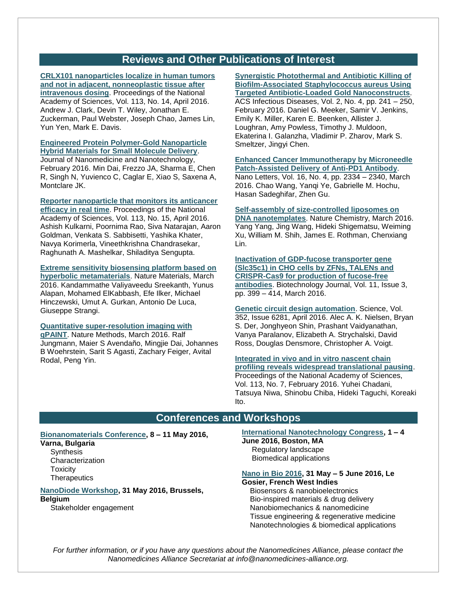# **Reviews and Other Publications of Interest**

**[CRLX101 nanoparticles localize in human tumors](http://www.pnas.org/content/113/14/3850)  [and not in adjacent, nonneoplastic tissue after](http://www.pnas.org/content/113/14/3850)  [intravenous dosing](http://www.pnas.org/content/113/14/3850)**. Proceedings of the National Academy of Sciences, Vol. 113, No. 14, April 2016. Andrew J. Clark, Devin T. Wiley, Jonathan E. Zuckerman, Paul Webster, Joseph Chao, James Lin, Yun Yen, Mark E. Davis.

### **[Engineered Protein Polymer-Gold Nanoparticle](http://www.omicsonline.org/open-access/engineered-protein-polymergold-nanoparticle-hybrid-materials-for-smallmolecule-delivery-2157-7439-1000356.php?aid=68980)  [Hybrid Materials for Small Molecule Delivery](http://www.omicsonline.org/open-access/engineered-protein-polymergold-nanoparticle-hybrid-materials-for-smallmolecule-delivery-2157-7439-1000356.php?aid=68980)**.

Journal of Nanomedicine and Nanotechnology, February 2016. Min Dai, Frezzo JA, Sharma E, Chen R, Singh N, Yuvienco C, Caglar E, Xiao S, Saxena A, Montclare JK.

**[Reporter nanoparticle that monitors its anticancer](http://www.pnas.org/content/113/15/E2104)** 

**[efficacy in real time](http://www.pnas.org/content/113/15/E2104)**. Proceedings of the National Academy of Sciences, Vol. 113, No. 15, April 2016. Ashish Kulkarni, Poornima Rao, Siva Natarajan, Aaron Goldman, Venkata S. Sabbisetti, Yashika Khater, Navya Korimerla, Vineethkrishna Chandrasekar, Raghunath A. Mashelkar, Shiladitya Sengupta.

# **[Extreme sensitivity biosensing platform based on](http://www.nature.com/nmat/journal/vaop/ncurrent/full/nmat4609.html)**

**[hyperbolic metamaterials](http://www.nature.com/nmat/journal/vaop/ncurrent/full/nmat4609.html)**. Nature Materials, March 2016. Kandammathe Valiyaveedu Sreekanth, Yunus Alapan, Mohamed ElKabbash, Efe Ilker, Michael Hinczewski, Umut A. Gurkan, Antonio De Luca, Giuseppe Strangi.

### **[Quantitative super-resolution imaging with](http://www.nature.com/nmeth/journal/vaop/ncurrent/full/nmeth.3804.html)**

**[qPAINT](http://www.nature.com/nmeth/journal/vaop/ncurrent/full/nmeth.3804.html)**. Nature Methods, March 2016. Ralf Jungmann, Maier S Avendaño, Mingjie Dai, Johannes B Woehrstein, Sarit S Agasti, Zachary Feiger, Avital Rodal, Peng Yin.

**[Synergistic Photothermal and Antibiotic Killing of](http://pubs.acs.org/doi/abs/10.1021/acsinfecdis.5b00117)  [Biofilm-Associated Staphylococcus aureus Using](http://pubs.acs.org/doi/abs/10.1021/acsinfecdis.5b00117)  [Targeted Antibiotic-Loaded Gold Nanoconstructs](http://pubs.acs.org/doi/abs/10.1021/acsinfecdis.5b00117)**. ACS Infectious Diseases, Vol. 2, No. 4, pp. 241 – 250, February 2016. Daniel G. Meeker, Samir V. Jenkins, Emily K. Miller, Karen E. Beenken, Allister J. Loughran, Amy Powless, Timothy J. Muldoon, Ekaterina I. Galanzha, Vladimir P. Zharov, Mark S. Smeltzer, Jingyi Chen.

#### **[Enhanced Cancer Immunotherapy by Microneedle](http://pubs.acs.org/doi/abs/10.1021/acs.nanolett.5b05030)  [Patch-Assisted Delivery of Anti-PD1 Antibody](http://pubs.acs.org/doi/abs/10.1021/acs.nanolett.5b05030)**.

Nano Letters, Vol. 16, No. 4, pp. 2334 – 2340, March 2016. Chao Wang, Yanqi Ye, Gabrielle M. Hochu, Hasan Sadeghifar, Zhen Gu.

#### **[Self-assembly of size-controlled liposomes on](http://www.nature.com/nchem/journal/vaop/ncurrent/full/nchem.2472.html)**

**[DNA nanotemplates](http://www.nature.com/nchem/journal/vaop/ncurrent/full/nchem.2472.html)**. Nature Chemistry, March 2016. Yang Yang, Jing Wang, Hideki Shigematsu, Weiming Xu, William M. Shih, James E. Rothman, Chenxiang Lin.

## **[Inactivation of GDP-fucose transporter gene](http://onlinelibrary.wiley.com/doi/10.1002/biot.201500331/abstract?systemMessage=Subscribe+and+renew+is+currently+unavailable+online.+Please+contact+customer+care+to+place+an+order%3A++http%3A%2F%2Folabout.wiley.com%2FWileyCDA%2FSection%2Fid-397203.html++.Apologies+for+the+inconvenience.)  [\(Slc35c1\) in CHO cells by ZFNs, TALENs and](http://onlinelibrary.wiley.com/doi/10.1002/biot.201500331/abstract?systemMessage=Subscribe+and+renew+is+currently+unavailable+online.+Please+contact+customer+care+to+place+an+order%3A++http%3A%2F%2Folabout.wiley.com%2FWileyCDA%2FSection%2Fid-397203.html++.Apologies+for+the+inconvenience.)  [CRISPR-Cas9 for production of fucose-free](http://onlinelibrary.wiley.com/doi/10.1002/biot.201500331/abstract?systemMessage=Subscribe+and+renew+is+currently+unavailable+online.+Please+contact+customer+care+to+place+an+order%3A++http%3A%2F%2Folabout.wiley.com%2FWileyCDA%2FSection%2Fid-397203.html++.Apologies+for+the+inconvenience.)  [antibodies](http://onlinelibrary.wiley.com/doi/10.1002/biot.201500331/abstract?systemMessage=Subscribe+and+renew+is+currently+unavailable+online.+Please+contact+customer+care+to+place+an+order%3A++http%3A%2F%2Folabout.wiley.com%2FWileyCDA%2FSection%2Fid-397203.html++.Apologies+for+the+inconvenience.)**. Biotechnology Journal, Vol. 11, Issue 3, pp. 399 – 414, March 2016.

**[Genetic circuit design automation](http://science.sciencemag.org/content/352/6281/aac7341)**. Science, Vol. 352, Issue 6281, April 2016. Alec A. K. Nielsen, Bryan S. Der, Jonghyeon Shin, Prashant Vaidyanathan, Vanya Paralanov, Elizabeth A. Strychalski, David Ross, Douglas Densmore, Christopher A. Voigt.

**[Integrated in vivo and in vitro nascent chain](http://www.pnas.org/content/113/7/E829)  [profiling reveals widespread translational pausing](http://www.pnas.org/content/113/7/E829)**. Proceedings of the National Academy of Sciences, Vol. 113, No. 7, February 2016. Yuhei Chadani, Tatsuya Niwa, Shinobu Chiba, Hideki Taguchi, Koreaki Ito.

# **Conferences and Workshops**

# **[Bionanomaterials Conference,](http://www.zingconferences.com/conferences/6th-zing-bionanomaterials-conference/) 8 – 11 May 2016,**

# **Varna, Bulgaria**

**Synthesis Characterization Toxicity Therapeutics** 

# **[NanoDiode Workshop,](http://www.nanodiode.eu/activities/nanodiode-working-conference/) 31 May 2016, Brussels, Belgium**

Stakeholder engagement

# **[International Nanotechnology Congress,](http://www.nanotoxcongress.net/index.html) 1 – 4**

**June 2016, Boston, MA** Regulatory landscape Biomedical applications

### **[Nano in Bio 2016,](http://nanoinbio2016.sciencesconf.org/) 31 May – 5 June 2016, Le Gosier, French West Indies**

 Biosensors & nanobioelectronics Bio-inspired materials & drug delivery Nanobiomechanics & nanomedicine Tissue engineering & regenerative medicine Nanotechnologies & biomedical applications

*For further information, or if you have any questions about the Nanomedicines Alliance, please contact the Nanomedicines Alliance Secretariat at info@nanomedicines-alliance.org.*